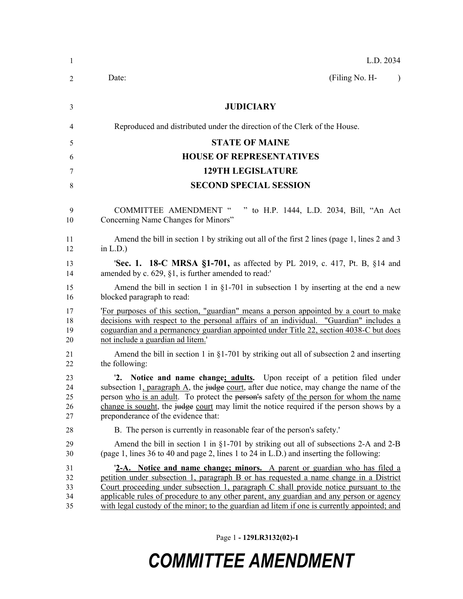| -1                         | L.D. 2034                                                                                                                                                                                                                                                                                                                                                                                                                                                 |
|----------------------------|-----------------------------------------------------------------------------------------------------------------------------------------------------------------------------------------------------------------------------------------------------------------------------------------------------------------------------------------------------------------------------------------------------------------------------------------------------------|
| 2                          | (Filing No. H-<br>Date:<br>$\lambda$                                                                                                                                                                                                                                                                                                                                                                                                                      |
| 3                          | <b>JUDICIARY</b>                                                                                                                                                                                                                                                                                                                                                                                                                                          |
| 4                          | Reproduced and distributed under the direction of the Clerk of the House.                                                                                                                                                                                                                                                                                                                                                                                 |
| 5                          | <b>STATE OF MAINE</b>                                                                                                                                                                                                                                                                                                                                                                                                                                     |
| 6                          | <b>HOUSE OF REPRESENTATIVES</b>                                                                                                                                                                                                                                                                                                                                                                                                                           |
| 7                          | <b>129TH LEGISLATURE</b>                                                                                                                                                                                                                                                                                                                                                                                                                                  |
| 8                          | <b>SECOND SPECIAL SESSION</b>                                                                                                                                                                                                                                                                                                                                                                                                                             |
| 9<br>10                    | <b>COMMITTEE AMENDMENT "</b><br>to H.P. 1444, L.D. 2034, Bill, "An Act<br>Concerning Name Changes for Minors"                                                                                                                                                                                                                                                                                                                                             |
| 11<br>12                   | Amend the bill in section 1 by striking out all of the first 2 lines (page 1, lines 2 and 3<br>in $L.D.$ )                                                                                                                                                                                                                                                                                                                                                |
| 13<br>14                   | 'Sec. 1. 18-C MRSA §1-701, as affected by PL 2019, c. 417, Pt. B, §14 and<br>amended by c. 629, §1, is further amended to read:'                                                                                                                                                                                                                                                                                                                          |
| 15<br>16                   | Amend the bill in section 1 in $\S1-701$ in subsection 1 by inserting at the end a new<br>blocked paragraph to read:                                                                                                                                                                                                                                                                                                                                      |
| 17<br>18<br>19<br>20       | For purposes of this section, "guardian" means a person appointed by a court to make<br>decisions with respect to the personal affairs of an individual. "Guardian" includes a<br>coguardian and a permanency guardian appointed under Title 22, section 4038-C but does<br>not include a guardian ad litem.                                                                                                                                              |
| 21<br>22                   | Amend the bill in section 1 in $\S1-701$ by striking out all of subsection 2 and inserting<br>the following:                                                                                                                                                                                                                                                                                                                                              |
| 23<br>24<br>25<br>26<br>27 | 2. Notice and name change; adults. Upon receipt of a petition filed under<br>subsection 1, paragraph A, the judge court, after due notice, may change the name of the<br>person who is an adult. To protect the person's safety of the person for whom the name<br>change is sought, the judge court may limit the notice required if the person shows by a<br>preponderance of the evidence that:                                                        |
| 28                         | B. The person is currently in reasonable fear of the person's safety.                                                                                                                                                                                                                                                                                                                                                                                     |
| 29<br>30                   | Amend the bill in section 1 in $\S1-701$ by striking out all of subsections 2-A and 2-B<br>(page 1, lines 36 to 40 and page 2, lines 1 to 24 in L.D.) and inserting the following:                                                                                                                                                                                                                                                                        |
| 31<br>32<br>33<br>34<br>35 | 2-A. Notice and name change; minors. A parent or guardian who has filed a<br>petition under subsection 1, paragraph B or has requested a name change in a District<br>Court proceeding under subsection 1, paragraph $C$ shall provide notice pursuant to the<br>applicable rules of procedure to any other parent, any guardian and any person or agency<br>with legal custody of the minor; to the guardian ad litem if one is currently appointed; and |

Page 1 **- 129LR3132(02)-1**

# *COMMITTEE AMENDMENT*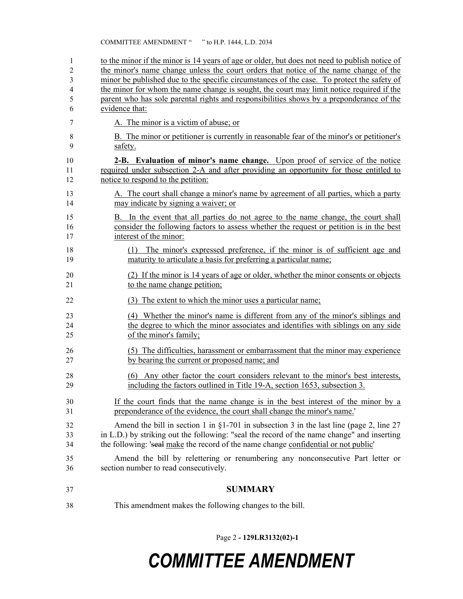### COMMITTEE AMENDMENT " " to H.P. 1444, L.D. 2034

| 1<br>2   | to the minor if the minor is 14 years of age or older, but does not need to publish notice of<br>the minor's name change unless the court orders that notice of the name change of the |
|----------|----------------------------------------------------------------------------------------------------------------------------------------------------------------------------------------|
| 3        | minor be published due to the specific circumstances of the case. To protect the safety of                                                                                             |
| 4        | the minor for whom the name change is sought, the court may limit notice required if the                                                                                               |
| 5        | parent who has sole parental rights and responsibilities shows by a preponderance of the                                                                                               |
| 6        | evidence that:                                                                                                                                                                         |
| 7        | A. The minor is a victim of abuse; or                                                                                                                                                  |
| 8<br>9   | B. The minor or petitioner is currently in reasonable fear of the minor's or petitioner's<br>safety.                                                                                   |
| 10       | 2-B. Evaluation of minor's name change. Upon proof of service of the notice                                                                                                            |
| 11       | required under subsection 2-A and after providing an opportunity for those entitled to                                                                                                 |
| 12       | notice to respond to the petition:                                                                                                                                                     |
| 13<br>14 | A. The court shall change a minor's name by agreement of all parties, which a party<br>may indicate by signing a waiver; or                                                            |
| 15       | B. In the event that all parties do not agree to the name change, the court shall                                                                                                      |
| 16       | consider the following factors to assess whether the request or petition is in the best                                                                                                |
| 17       | interest of the minor:                                                                                                                                                                 |
| 18       | (1) The minor's expressed preference, if the minor is of sufficient age and                                                                                                            |
| 19       | maturity to articulate a basis for preferring a particular name;                                                                                                                       |
| 20       | (2) If the minor is 14 years of age or older, whether the minor consents or objects                                                                                                    |
| 21       | to the name change petition;                                                                                                                                                           |
| 22       | (3) The extent to which the minor uses a particular name;                                                                                                                              |
| 23       | (4) Whether the minor's name is different from any of the minor's siblings and                                                                                                         |
| 24       | the degree to which the minor associates and identifies with siblings on any side                                                                                                      |
| 25       | of the minor's family;                                                                                                                                                                 |
| 26       | (5) The difficulties, harassment or embarrassment that the minor may experience                                                                                                        |
| 27       | by bearing the current or proposed name; and                                                                                                                                           |
| 28       | (6) Any other factor the court considers relevant to the minor's best interests,                                                                                                       |
| 29       | including the factors outlined in Title 19-A, section 1653, subsection 3.                                                                                                              |
| 30       | If the court finds that the name change is in the best interest of the minor by a                                                                                                      |
| 31       | preponderance of the evidence, the court shall change the minor's name.'                                                                                                               |
| 32       | Amend the bill in section 1 in $\S1-701$ in subsection 3 in the last line (page 2, line 27                                                                                             |
| 33       | in L.D.) by striking out the following: "seal the record of the name change" and inserting                                                                                             |
| 34       | the following: 'seal make the record of the name change confidential or not public'                                                                                                    |
| 35       | Amend the bill by relettering or renumbering any nonconsecutive Part letter or                                                                                                         |
| 36       | section number to read consecutively.                                                                                                                                                  |
| 37       | <b>SUMMARY</b>                                                                                                                                                                         |
| 38       | This amendment makes the following changes to the bill.                                                                                                                                |

Page 2 **- 129LR3132(02)-1**

## *COMMITTEE AMENDMENT*